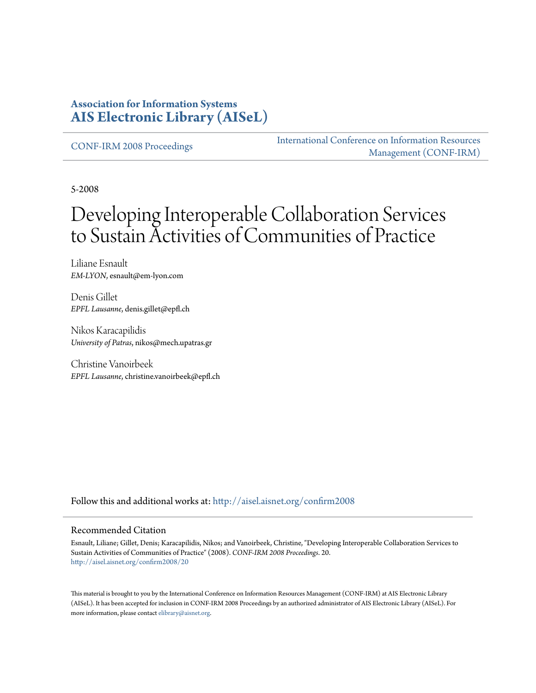#### **Association for Information Systems [AIS Electronic Library \(AISeL\)](http://aisel.aisnet.org?utm_source=aisel.aisnet.org%2Fconfirm2008%2F20&utm_medium=PDF&utm_campaign=PDFCoverPages)**

[CONF-IRM 2008 Proceedings](http://aisel.aisnet.org/confirm2008?utm_source=aisel.aisnet.org%2Fconfirm2008%2F20&utm_medium=PDF&utm_campaign=PDFCoverPages)

[International Conference on Information Resources](http://aisel.aisnet.org/conf-irm?utm_source=aisel.aisnet.org%2Fconfirm2008%2F20&utm_medium=PDF&utm_campaign=PDFCoverPages) [Management \(CONF-IRM\)](http://aisel.aisnet.org/conf-irm?utm_source=aisel.aisnet.org%2Fconfirm2008%2F20&utm_medium=PDF&utm_campaign=PDFCoverPages)

5-2008

# Developing Interoperable Collaboration Services to Sustain Activities of Communities of Practice

Liliane Esnault *EM-LYON*, esnault@em-lyon.com

Denis Gillet *EPFL Lausanne*, denis.gillet@epfl.ch

Nikos Karacapilidis *University of Patras*, nikos@mech.upatras.gr

Christine Vanoirbeek *EPFL Lausanne*, christine.vanoirbeek@epfl.ch

Follow this and additional works at: [http://aisel.aisnet.org/confirm2008](http://aisel.aisnet.org/confirm2008?utm_source=aisel.aisnet.org%2Fconfirm2008%2F20&utm_medium=PDF&utm_campaign=PDFCoverPages)

#### Recommended Citation

Esnault, Liliane; Gillet, Denis; Karacapilidis, Nikos; and Vanoirbeek, Christine, "Developing Interoperable Collaboration Services to Sustain Activities of Communities of Practice" (2008). *CONF-IRM 2008 Proceedings*. 20. [http://aisel.aisnet.org/confirm2008/20](http://aisel.aisnet.org/confirm2008/20?utm_source=aisel.aisnet.org%2Fconfirm2008%2F20&utm_medium=PDF&utm_campaign=PDFCoverPages)

This material is brought to you by the International Conference on Information Resources Management (CONF-IRM) at AIS Electronic Library (AISeL). It has been accepted for inclusion in CONF-IRM 2008 Proceedings by an authorized administrator of AIS Electronic Library (AISeL). For more information, please contact [elibrary@aisnet.org.](mailto:elibrary@aisnet.org%3E)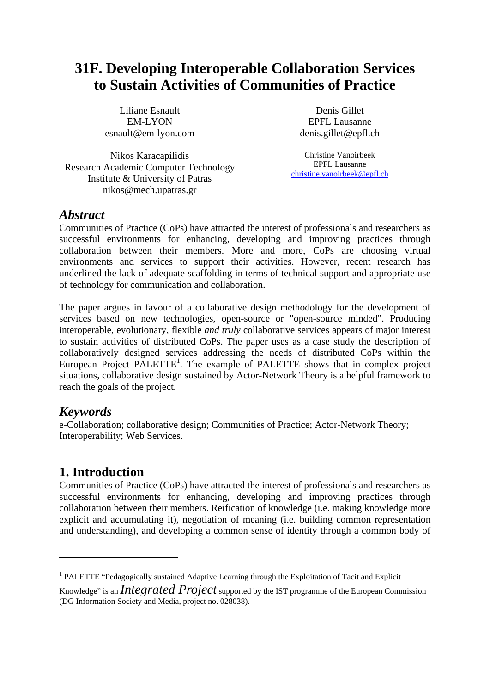# **31F. Developing Interoperable Collaboration Services to Sustain Activities of Communities of Practice**

Liliane Esnault EM-LYON esnault@em-lyon.com

Nikos Karacapilidis Research Academic Computer Technology Institute & University of Patras nikos@mech.upatras.gr

Denis Gillet EPFL Lausanne denis.gillet@epfl.ch

Christine Vanoirbeek EPFL Lausanne christine.vanoirbeek@epfl.ch

### *Abstract*

Communities of Practice (CoPs) have attracted the interest of professionals and researchers as successful environments for enhancing, developing and improving practices through collaboration between their members. More and more, CoPs are choosing virtual environments and services to support their activities. However, recent research has underlined the lack of adequate scaffolding in terms of technical support and appropriate use of technology for communication and collaboration.

The paper argues in favour of a collaborative design methodology for the development of services based on new technologies, open-source or "open-source minded". Producing interoperable, evolutionary, flexible *and truly* collaborative services appears of major interest to sustain activities of distributed CoPs. The paper uses as a case study the description of collaboratively designed services addressing the needs of distributed CoPs within the European Project  $\text{PALETTE}^1$ . The example of PALETTE shows that in complex project situations, collaborative design sustained by Actor-Network Theory is a helpful framework to reach the goals of the project.

# *Keywords*

<u>.</u>

e-Collaboration; collaborative design; Communities of Practice; Actor-Network Theory; Interoperability; Web Services.

# **1. Introduction**

Communities of Practice (CoPs) have attracted the interest of professionals and researchers as successful environments for enhancing, developing and improving practices through collaboration between their members. Reification of knowledge (i.e. making knowledge more explicit and accumulating it), negotiation of meaning (i.e. building common representation and understanding), and developing a common sense of identity through a common body of

<sup>&</sup>lt;sup>1</sup> PALETTE "Pedagogically sustained Adaptive Learning through the Exploitation of Tacit and Explicit

Knowledge" is an *Integrated Project* supported by the IST programme of the European Commission (DG Information Society and Media, project no. 028038).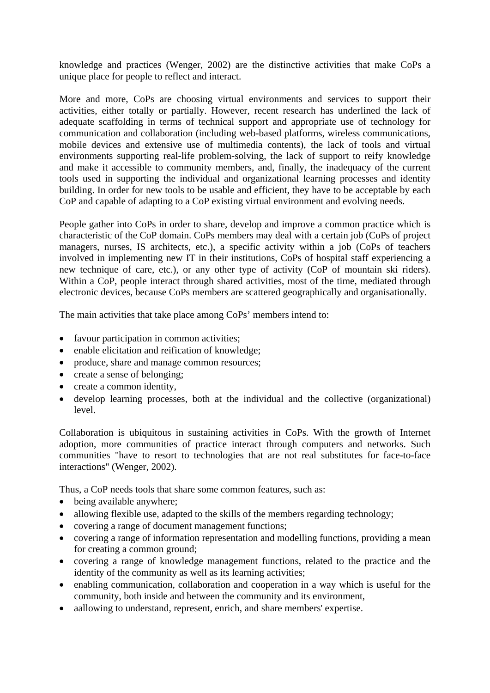knowledge and practices (Wenger, 2002) are the distinctive activities that make CoPs a unique place for people to reflect and interact.

More and more, CoPs are choosing virtual environments and services to support their activities, either totally or partially. However, recent research has underlined the lack of adequate scaffolding in terms of technical support and appropriate use of technology for communication and collaboration (including web-based platforms, wireless communications, mobile devices and extensive use of multimedia contents), the lack of tools and virtual environments supporting real-life problem-solving, the lack of support to reify knowledge and make it accessible to community members, and, finally, the inadequacy of the current tools used in supporting the individual and organizational learning processes and identity building. In order for new tools to be usable and efficient, they have to be acceptable by each CoP and capable of adapting to a CoP existing virtual environment and evolving needs.

People gather into CoPs in order to share, develop and improve a common practice which is characteristic of the CoP domain. CoPs members may deal with a certain job (CoPs of project managers, nurses, IS architects, etc.), a specific activity within a job (CoPs of teachers involved in implementing new IT in their institutions, CoPs of hospital staff experiencing a new technique of care, etc.), or any other type of activity (CoP of mountain ski riders). Within a CoP, people interact through shared activities, most of the time, mediated through electronic devices, because CoPs members are scattered geographically and organisationally.

The main activities that take place among CoPs' members intend to:

- favour participation in common activities;
- enable elicitation and reification of knowledge;
- produce, share and manage common resources;
- create a sense of belonging:
- create a common identity,
- develop learning processes, both at the individual and the collective (organizational) level.

Collaboration is ubiquitous in sustaining activities in CoPs. With the growth of Internet adoption, more communities of practice interact through computers and networks. Such communities "have to resort to technologies that are not real substitutes for face-to-face interactions" (Wenger, 2002).

Thus, a CoP needs tools that share some common features, such as:

- being available anywhere;
- allowing flexible use, adapted to the skills of the members regarding technology;
- covering a range of document management functions;
- covering a range of information representation and modelling functions, providing a mean for creating a common ground;
- covering a range of knowledge management functions, related to the practice and the identity of the community as well as its learning activities;
- enabling communication, collaboration and cooperation in a way which is useful for the community, both inside and between the community and its environment,
- aallowing to understand, represent, enrich, and share members' expertise.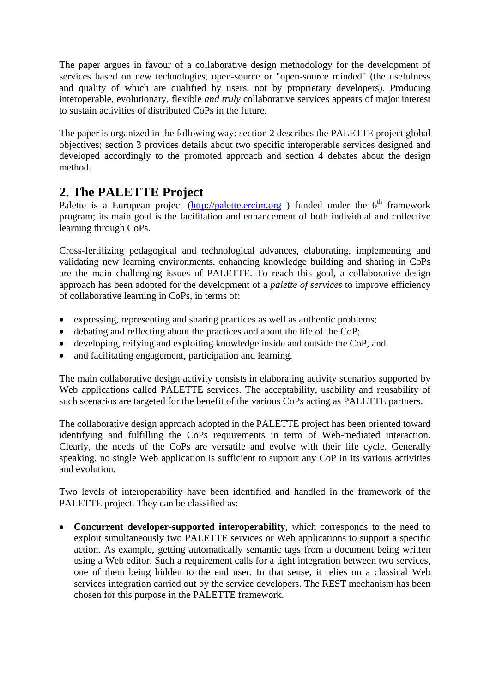The paper argues in favour of a collaborative design methodology for the development of services based on new technologies, open-source or "open-source minded" (the usefulness and quality of which are qualified by users, not by proprietary developers). Producing interoperable, evolutionary, flexible *and truly* collaborative services appears of major interest to sustain activities of distributed CoPs in the future.

The paper is organized in the following way: section 2 describes the PALETTE project global objectives; section 3 provides details about two specific interoperable services designed and developed accordingly to the promoted approach and section 4 debates about the design method.

# **2. The PALETTE Project**

Palette is a European project (http://palette.ercim.org) funded under the  $6<sup>th</sup>$  framework program; its main goal is the facilitation and enhancement of both individual and collective learning through CoPs.

Cross-fertilizing pedagogical and technological advances, elaborating, implementing and validating new learning environments, enhancing knowledge building and sharing in CoPs are the main challenging issues of PALETTE. To reach this goal, a collaborative design approach has been adopted for the development of a *palette of services* to improve efficiency of collaborative learning in CoPs, in terms of:

- expressing, representing and sharing practices as well as authentic problems;
- debating and reflecting about the practices and about the life of the CoP;
- developing, reifying and exploiting knowledge inside and outside the CoP, and
- and facilitating engagement, participation and learning.

The main collaborative design activity consists in elaborating activity scenarios supported by Web applications called PALETTE services. The acceptability, usability and reusability of such scenarios are targeted for the benefit of the various CoPs acting as PALETTE partners.

The collaborative design approach adopted in the PALETTE project has been oriented toward identifying and fulfilling the CoPs requirements in term of Web-mediated interaction. Clearly, the needs of the CoPs are versatile and evolve with their life cycle. Generally speaking, no single Web application is sufficient to support any CoP in its various activities and evolution.

Two levels of interoperability have been identified and handled in the framework of the PALETTE project. They can be classified as:

• **Concurrent developer-supported interoperability**, which corresponds to the need to exploit simultaneously two PALETTE services or Web applications to support a specific action. As example, getting automatically semantic tags from a document being written using a Web editor. Such a requirement calls for a tight integration between two services, one of them being hidden to the end user. In that sense, it relies on a classical Web services integration carried out by the service developers. The REST mechanism has been chosen for this purpose in the PALETTE framework.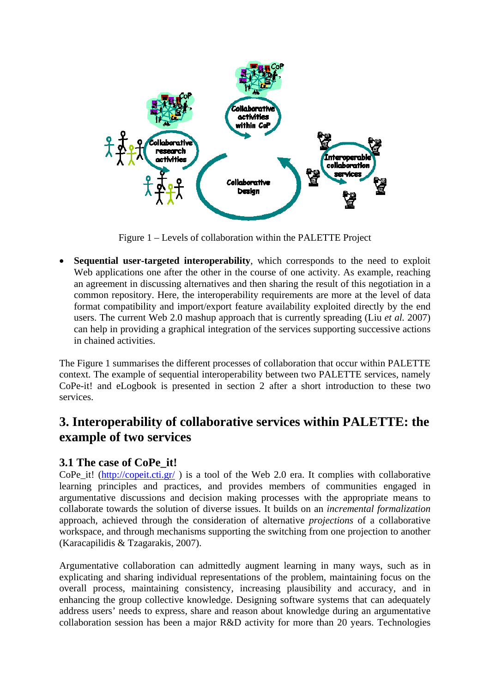

Figure 1 – Levels of collaboration within the PALETTE Project

**Sequential user-targeted interoperability**, which corresponds to the need to exploit Web applications one after the other in the course of one activity. As example, reaching an agreement in discussing alternatives and then sharing the result of this negotiation in a common repository. Here, the interoperability requirements are more at the level of data format compatibility and import/export feature availability exploited directly by the end users. The current Web 2.0 mashup approach that is currently spreading (Liu *et al.* 2007) can help in providing a graphical integration of the services supporting successive actions in chained activities.

The Figure 1 summarises the different processes of collaboration that occur within PALETTE context. The example of sequential interoperability between two PALETTE services, namely CoPe-it! and eLogbook is presented in section 2 after a short introduction to these two services.

# **3. Interoperability of collaborative services within PALETTE: the example of two services**

#### **3.1 The case of CoPe\_it!**

CoPe it! (http://copeit.cti.gr/) is a tool of the Web 2.0 era. It complies with collaborative learning principles and practices, and provides members of communities engaged in argumentative discussions and decision making processes with the appropriate means to collaborate towards the solution of diverse issues. It builds on an *incremental formalization* approach, achieved through the consideration of alternative *projections* of a collaborative workspace, and through mechanisms supporting the switching from one projection to another (Karacapilidis & Tzagarakis, 2007).

Argumentative collaboration can admittedly augment learning in many ways, such as in explicating and sharing individual representations of the problem, maintaining focus on the overall process, maintaining consistency, increasing plausibility and accuracy, and in enhancing the group collective knowledge. Designing software systems that can adequately address users' needs to express, share and reason about knowledge during an argumentative collaboration session has been a major R&D activity for more than 20 years. Technologies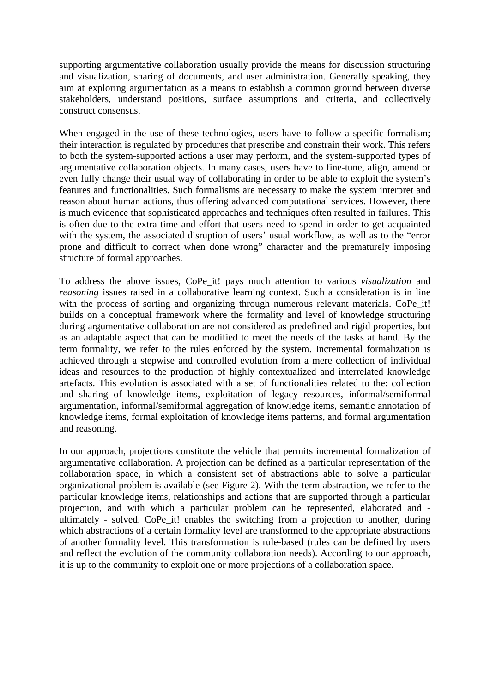supporting argumentative collaboration usually provide the means for discussion structuring and visualization, sharing of documents, and user administration. Generally speaking, they aim at exploring argumentation as a means to establish a common ground between diverse stakeholders, understand positions, surface assumptions and criteria, and collectively construct consensus.

When engaged in the use of these technologies, users have to follow a specific formalism; their interaction is regulated by procedures that prescribe and constrain their work. This refers to both the system-supported actions a user may perform, and the system-supported types of argumentative collaboration objects. In many cases, users have to fine-tune, align, amend or even fully change their usual way of collaborating in order to be able to exploit the system's features and functionalities. Such formalisms are necessary to make the system interpret and reason about human actions, thus offering advanced computational services. However, there is much evidence that sophisticated approaches and techniques often resulted in failures. This is often due to the extra time and effort that users need to spend in order to get acquainted with the system, the associated disruption of users' usual workflow, as well as to the "error prone and difficult to correct when done wrong" character and the prematurely imposing structure of formal approaches.

To address the above issues, CoPe\_it! pays much attention to various *visualization* and *reasoning* issues raised in a collaborative learning context. Such a consideration is in line with the process of sorting and organizing through numerous relevant materials. CoPe it! builds on a conceptual framework where the formality and level of knowledge structuring during argumentative collaboration are not considered as predefined and rigid properties, but as an adaptable aspect that can be modified to meet the needs of the tasks at hand. By the term formality, we refer to the rules enforced by the system. Incremental formalization is achieved through a stepwise and controlled evolution from a mere collection of individual ideas and resources to the production of highly contextualized and interrelated knowledge artefacts. This evolution is associated with a set of functionalities related to the: collection and sharing of knowledge items, exploitation of legacy resources, informal/semiformal argumentation, informal/semiformal aggregation of knowledge items, semantic annotation of knowledge items, formal exploitation of knowledge items patterns, and formal argumentation and reasoning.

In our approach, projections constitute the vehicle that permits incremental formalization of argumentative collaboration. A projection can be defined as a particular representation of the collaboration space, in which a consistent set of abstractions able to solve a particular organizational problem is available (see Figure 2). With the term abstraction, we refer to the particular knowledge items, relationships and actions that are supported through a particular projection, and with which a particular problem can be represented, elaborated and ultimately - solved. CoPe it! enables the switching from a projection to another, during which abstractions of a certain formality level are transformed to the appropriate abstractions of another formality level. This transformation is rule-based (rules can be defined by users and reflect the evolution of the community collaboration needs). According to our approach, it is up to the community to exploit one or more projections of a collaboration space.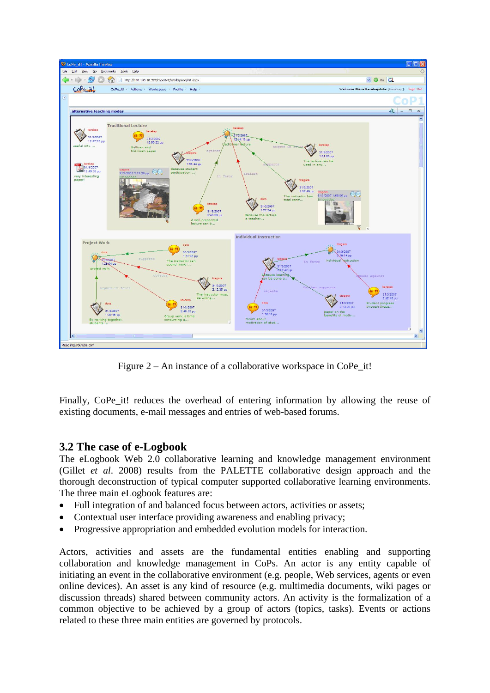

Figure 2 – An instance of a collaborative workspace in CoPe it!

Finally, CoPe\_it! reduces the overhead of entering information by allowing the reuse of existing documents, e-mail messages and entries of web-based forums.

#### **3.2 The case of e-Logbook**

The eLogbook Web 2.0 collaborative learning and knowledge management environment (Gillet *et al*. 2008) results from the PALETTE collaborative design approach and the thorough deconstruction of typical computer supported collaborative learning environments. The three main eLogbook features are:

- Full integration of and balanced focus between actors, activities or assets;
- Contextual user interface providing awareness and enabling privacy;
- Progressive appropriation and embedded evolution models for interaction.

Actors, activities and assets are the fundamental entities enabling and supporting collaboration and knowledge management in CoPs. An actor is any entity capable of initiating an event in the collaborative environment (e.g. people, Web services, agents or even online devices). An asset is any kind of resource (e.g. multimedia documents, wiki pages or discussion threads) shared between community actors. An activity is the formalization of a common objective to be achieved by a group of actors (topics, tasks). Events or actions related to these three main entities are governed by protocols.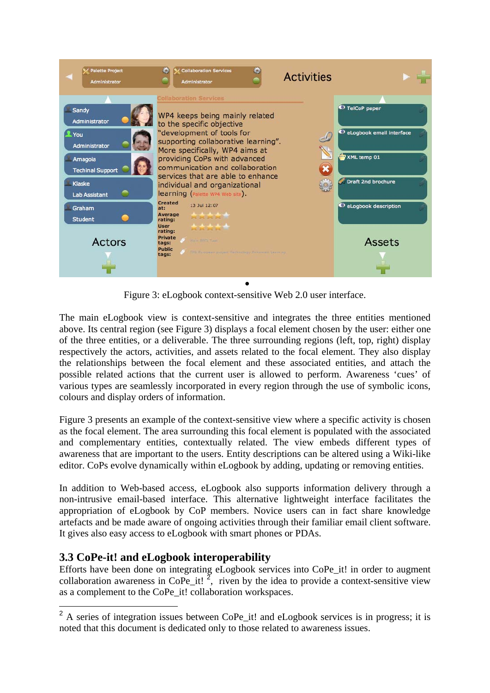

Figure 3: eLogbook context-sensitive Web 2.0 user interface.

The main eLogbook view is context-sensitive and integrates the three entities mentioned above. Its central region (see Figure 3) displays a focal element chosen by the user: either one of the three entities, or a deliverable. The three surrounding regions (left, top, right) display respectively the actors, activities, and assets related to the focal element. They also display the relationships between the focal element and these associated entities, and attach the possible related actions that the current user is allowed to perform. Awareness 'cues' of various types are seamlessly incorporated in every region through the use of symbolic icons, colours and display orders of information.

Figure 3 presents an example of the context-sensitive view where a specific activity is chosen as the focal element. The area surrounding this focal element is populated with the associated and complementary entities, contextually related. The view embeds different types of awareness that are important to the users. Entity descriptions can be altered using a Wiki-like editor. CoPs evolve dynamically within eLogbook by adding, updating or removing entities.

In addition to Web-based access, eLogbook also supports information delivery through a non-intrusive email-based interface. This alternative lightweight interface facilitates the appropriation of eLogbook by CoP members. Novice users can in fact share knowledge artefacts and be made aware of ongoing activities through their familiar email client software. It gives also easy access to eLogbook with smart phones or PDAs.

#### **3.3 CoPe-it! and eLogbook interoperability**

1

Efforts have been done on integrating eLogbook services into CoPe\_it! in order to augment collaboration awareness in CoPe\_it!<sup>2</sup>, riven by the idea to provide a context-sensitive view as a complement to the CoPe\_it! collaboration workspaces.

 $2^2$  A series of integration issues between CoPe\_it! and eLogbook services is in progress; it is noted that this document is dedicated only to those related to awareness issues.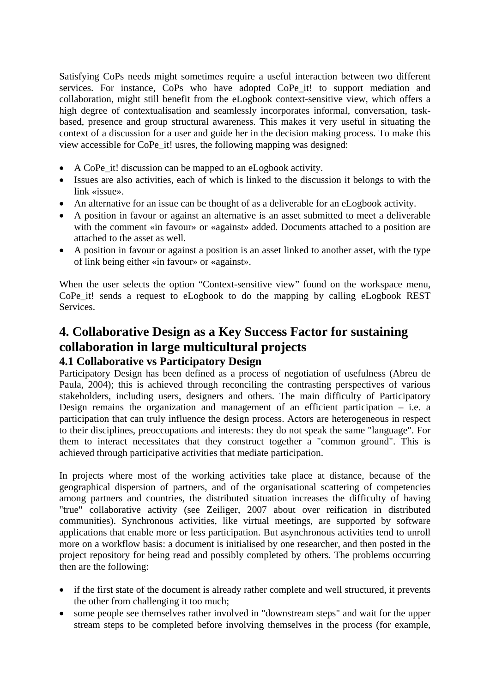Satisfying CoPs needs might sometimes require a useful interaction between two different services. For instance, CoPs who have adopted CoPe it! to support mediation and collaboration, might still benefit from the eLogbook context-sensitive view, which offers a high degree of contextualisation and seamlessly incorporates informal, conversation, taskbased, presence and group structural awareness. This makes it very useful in situating the context of a discussion for a user and guide her in the decision making process. To make this view accessible for CoPe\_it! usres, the following mapping was designed:

- A CoPe it! discussion can be mapped to an eLogbook activity.
- Issues are also activities, each of which is linked to the discussion it belongs to with the link «issue».
- An alternative for an issue can be thought of as a deliverable for an eLogbook activity.
- A position in favour or against an alternative is an asset submitted to meet a deliverable with the comment «in favour» or «against» added. Documents attached to a position are attached to the asset as well.
- A position in favour or against a position is an asset linked to another asset, with the type of link being either «in favour» or «against».

When the user selects the option "Context-sensitive view" found on the workspace menu, CoPe\_it! sends a request to eLogbook to do the mapping by calling eLogbook REST Services.

# **4. Collaborative Design as a Key Success Factor for sustaining collaboration in large multicultural projects**

#### **4.1 Collaborative vs Participatory Design**

Participatory Design has been defined as a process of negotiation of usefulness (Abreu de Paula, 2004); this is achieved through reconciling the contrasting perspectives of various stakeholders, including users, designers and others. The main difficulty of Participatory Design remains the organization and management of an efficient participation – i.e. a participation that can truly influence the design process. Actors are heterogeneous in respect to their disciplines, preoccupations and interests: they do not speak the same "language". For them to interact necessitates that they construct together a "common ground". This is achieved through participative activities that mediate participation.

In projects where most of the working activities take place at distance, because of the geographical dispersion of partners, and of the organisational scattering of competencies among partners and countries, the distributed situation increases the difficulty of having "true" collaborative activity (see Zeiliger, 2007 about over reification in distributed communities). Synchronous activities, like virtual meetings, are supported by software applications that enable more or less participation. But asynchronous activities tend to unroll more on a workflow basis: a document is initialised by one researcher, and then posted in the project repository for being read and possibly completed by others. The problems occurring then are the following:

- if the first state of the document is already rather complete and well structured, it prevents the other from challenging it too much;
- some people see themselves rather involved in "downstream steps" and wait for the upper stream steps to be completed before involving themselves in the process (for example,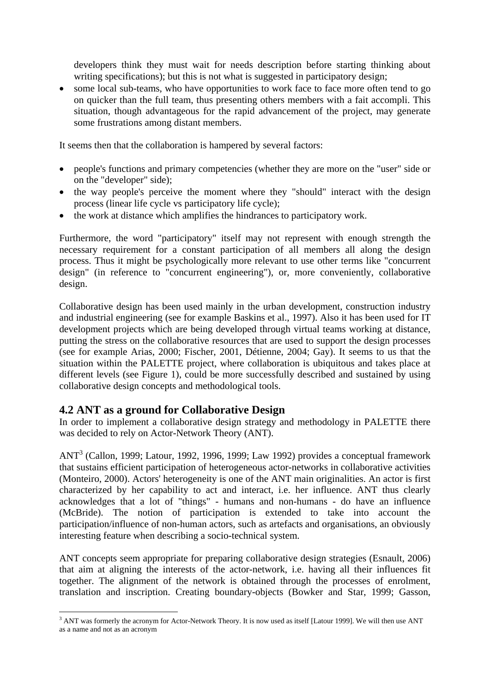developers think they must wait for needs description before starting thinking about writing specifications); but this is not what is suggested in participatory design;

• some local sub-teams, who have opportunities to work face to face more often tend to go on quicker than the full team, thus presenting others members with a fait accompli. This situation, though advantageous for the rapid advancement of the project, may generate some frustrations among distant members.

It seems then that the collaboration is hampered by several factors:

- people's functions and primary competencies (whether they are more on the "user" side or on the "developer" side);
- the way people's perceive the moment where they "should" interact with the design process (linear life cycle vs participatory life cycle);
- the work at distance which amplifies the hindrances to participatory work.

Furthermore, the word "participatory" itself may not represent with enough strength the necessary requirement for a constant participation of all members all along the design process. Thus it might be psychologically more relevant to use other terms like "concurrent design" (in reference to "concurrent engineering"), or, more conveniently, collaborative design.

Collaborative design has been used mainly in the urban development, construction industry and industrial engineering (see for example Baskins et al., 1997). Also it has been used for IT development projects which are being developed through virtual teams working at distance, putting the stress on the collaborative resources that are used to support the design processes (see for example Arias, 2000; Fischer, 2001, Détienne, 2004; Gay). It seems to us that the situation within the PALETTE project, where collaboration is ubiquitous and takes place at different levels (see Figure 1), could be more successfully described and sustained by using collaborative design concepts and methodological tools.

#### **4.2 ANT as a ground for Collaborative Design**

In order to implement a collaborative design strategy and methodology in PALETTE there was decided to rely on Actor-Network Theory (ANT).

 $ANT<sup>3</sup>$  (Callon, 1999; Latour, 1992, 1996, 1999; Law 1992) provides a conceptual framework that sustains efficient participation of heterogeneous actor-networks in collaborative activities (Monteiro, 2000). Actors' heterogeneity is one of the ANT main originalities. An actor is first characterized by her capability to act and interact, i.e. her influence. ANT thus clearly acknowledges that a lot of "things" - humans and non-humans - do have an influence (McBride). The notion of participation is extended to take into account the participation/influence of non-human actors, such as artefacts and organisations, an obviously interesting feature when describing a socio-technical system.

ANT concepts seem appropriate for preparing collaborative design strategies (Esnault, 2006) that aim at aligning the interests of the actor-network, i.e. having all their influences fit together. The alignment of the network is obtained through the processes of enrolment, translation and inscription. Creating boundary-objects (Bowker and Star, 1999; Gasson,

 3 ANT was formerly the acronym for Actor-Network Theory. It is now used as itself [Latour 1999]. We will then use ANT as a name and not as an acronym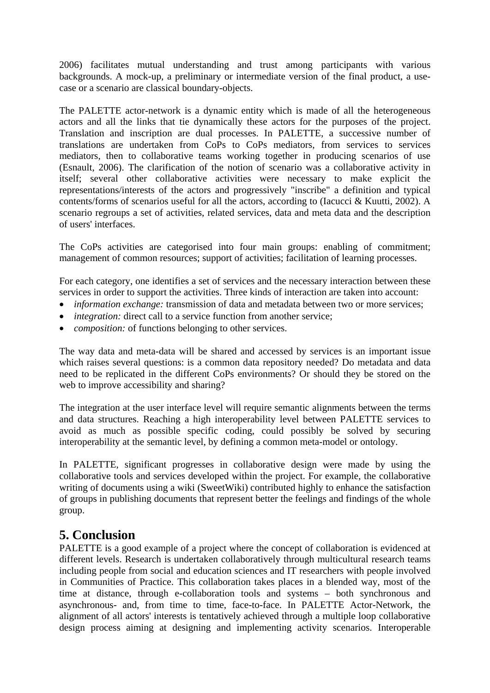2006) facilitates mutual understanding and trust among participants with various backgrounds. A mock-up, a preliminary or intermediate version of the final product, a usecase or a scenario are classical boundary-objects.

The PALETTE actor-network is a dynamic entity which is made of all the heterogeneous actors and all the links that tie dynamically these actors for the purposes of the project. Translation and inscription are dual processes. In PALETTE, a successive number of translations are undertaken from CoPs to CoPs mediators, from services to services mediators, then to collaborative teams working together in producing scenarios of use (Esnault, 2006). The clarification of the notion of scenario was a collaborative activity in itself; several other collaborative activities were necessary to make explicit the representations/interests of the actors and progressively "inscribe" a definition and typical contents/forms of scenarios useful for all the actors, according to (Iacucci & Kuutti, 2002). A scenario regroups a set of activities, related services, data and meta data and the description of users' interfaces.

The CoPs activities are categorised into four main groups: enabling of commitment; management of common resources; support of activities; facilitation of learning processes.

For each category, one identifies a set of services and the necessary interaction between these services in order to support the activities. Three kinds of interaction are taken into account:

- *information exchange:* transmission of data and metadata between two or more services:
- *integration:* direct call to a service function from another service;
- *composition:* of functions belonging to other services.

The way data and meta-data will be shared and accessed by services is an important issue which raises several questions: is a common data repository needed? Do metadata and data need to be replicated in the different CoPs environments? Or should they be stored on the web to improve accessibility and sharing?

The integration at the user interface level will require semantic alignments between the terms and data structures. Reaching a high interoperability level between PALETTE services to avoid as much as possible specific coding, could possibly be solved by securing interoperability at the semantic level, by defining a common meta-model or ontology.

In PALETTE, significant progresses in collaborative design were made by using the collaborative tools and services developed within the project. For example, the collaborative writing of documents using a wiki (SweetWiki) contributed highly to enhance the satisfaction of groups in publishing documents that represent better the feelings and findings of the whole group.

# **5. Conclusion**

PALETTE is a good example of a project where the concept of collaboration is evidenced at different levels. Research is undertaken collaboratively through multicultural research teams including people from social and education sciences and IT researchers with people involved in Communities of Practice. This collaboration takes places in a blended way, most of the time at distance, through e-collaboration tools and systems – both synchronous and asynchronous- and, from time to time, face-to-face. In PALETTE Actor-Network, the alignment of all actors' interests is tentatively achieved through a multiple loop collaborative design process aiming at designing and implementing activity scenarios. Interoperable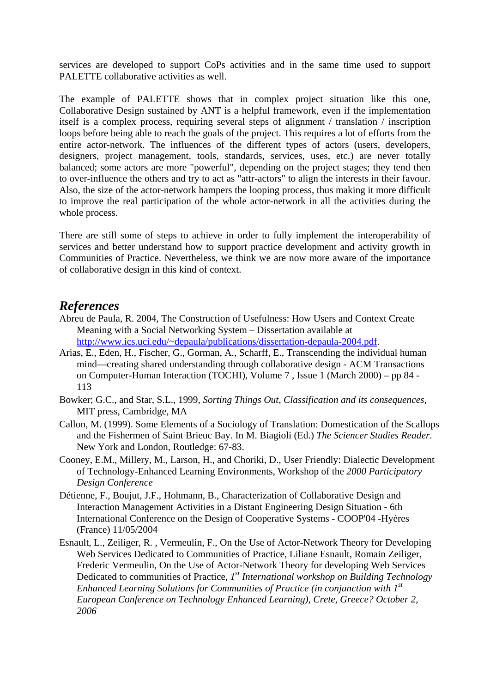services are developed to support CoPs activities and in the same time used to support PALETTE collaborative activities as well.

The example of PALETTE shows that in complex project situation like this one, Collaborative Design sustained by ANT is a helpful framework, even if the implementation itself is a complex process, requiring several steps of alignment / translation / inscription loops before being able to reach the goals of the project. This requires a lot of efforts from the entire actor-network. The influences of the different types of actors (users, developers, designers, project management, tools, standards, services, uses, etc.) are never totally balanced; some actors are more "powerful", depending on the project stages; they tend then to over-influence the others and try to act as "attr-actors" to align the interests in their favour. Also, the size of the actor-network hampers the looping process, thus making it more difficult to improve the real participation of the whole actor-network in all the activities during the whole process.

There are still some of steps to achieve in order to fully implement the interoperability of services and better understand how to support practice development and activity growth in Communities of Practice. Nevertheless, we think we are now more aware of the importance of collaborative design in this kind of context.

#### *References*

- Abreu de Paula, R. 2004, The Construction of Usefulness: How Users and Context Create Meaning with a Social Networking System – Dissertation available at http://www.ics.uci.edu/~depaula/publications/dissertation-depaula-2004.pdf.
- Arias, E., Eden, H., Fischer, G., Gorman, A., Scharff, E., Transcending the individual human mind—creating shared understanding through collaborative design - ACM Transactions on Computer-Human Interaction (TOCHI), Volume 7 , Issue 1 (March 2000) – pp 84 - 113
- Bowker; G.C., and Star, S.L., 1999, *Sorting Things Out, Classification and its consequences*, MIT press, Cambridge, MA
- Callon, M. (1999). Some Elements of a Sociology of Translation: Domestication of the Scallops and the Fishermen of Saint Brieuc Bay. In M. Biagioli (Ed.) *The Sciencer Studies Reader*. New York and London, Routledge: 67-83.
- Cooney, E.M., Millery, M., Larson, H., and Choriki, D., User Friendly: Dialectic Development of Technology-Enhanced Learning Environments, Workshop of the *2000 Participatory Design Conference*
- Détienne, F., Boujut, J.F., Hohmann, B., Characterization of Collaborative Design and Interaction Management Activities in a Distant Engineering Design Situation - 6th International Conference on the Design of Cooperative Systems - COOP'04 -Hyères (France) 11/05/2004
- Esnault, L., Zeiliger, R. , Vermeulin, F., On the Use of Actor-Network Theory for Developing Web Services Dedicated to Communities of Practice, Liliane Esnault, Romain Zeiliger, Frederic Vermeulin, On the Use of Actor-Network Theory for developing Web Services Dedicated to communities of Practice, *1st International workshop on Building Technology Enhanced Learning Solutions for Communities of Practice (in conjunction with 1st European Conference on Technology Enhanced Learning), Crete, Greece? October 2, 2006*